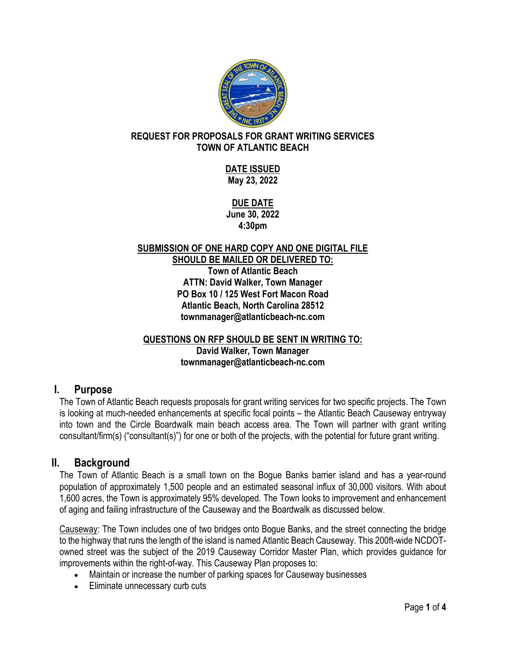

### **REQUEST FOR PROPOSALS FOR GRANT WRITING SERVICES TOWN OF ATLANTIC BEACH**

**DATE ISSUED May 23, 2022**

**DUE DATE June 30, 2022 4:30pm**

#### **SUBMISSION OF ONE HARD COPY AND ONE DIGITAL FILE SHOULD BE MAILED OR DELIVERED TO: Town of Atlantic Beach ATTN: David Walker, Town Manager PO Box 10 / 125 West Fort Macon Road Atlantic Beach, North Carolina 28512 townmanager@atlanticbeach-nc.com**

#### **QUESTIONS ON RFP SHOULD BE SENT IN WRITING TO: David Walker, Town Manager townmanager@atlanticbeach-nc.com**

## **I. Purpose**

The Town of Atlantic Beach requests proposals for grant writing services for two specific projects. The Town is looking at much-needed enhancements at specific focal points – the Atlantic Beach Causeway entryway into town and the Circle Boardwalk main beach access area. The Town will partner with grant writing consultant/firm(s) ("consultant(s)") for one or both of the projects, with the potential for future grant writing.

## **II. Background**

The Town of Atlantic Beach is a small town on the Bogue Banks barrier island and has a year-round population of approximately 1,500 people and an estimated seasonal influx of 30,000 visitors. With about 1,600 acres, the Town is approximately 95% developed. The Town looks to improvement and enhancement of aging and failing infrastructure of the Causeway and the Boardwalk as discussed below.

Causeway: The Town includes one of two bridges onto Bogue Banks, and the street connecting the bridge to the highway that runs the length of the island is named Atlantic Beach Causeway. This 200ft-wide NCDOTowned street was the subject of the 2019 Causeway Corridor Master Plan, which provides guidance for improvements within the right-of-way. This Causeway Plan proposes to:

- Maintain or increase the number of parking spaces for Causeway businesses
- Eliminate unnecessary curb cuts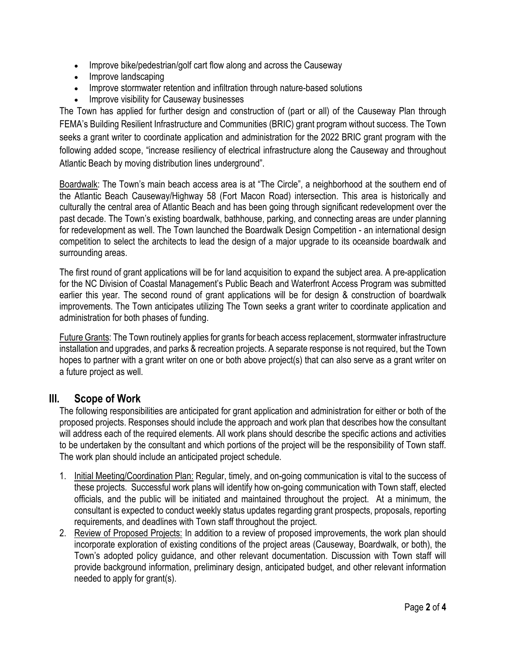- Improve bike/pedestrian/golf cart flow along and across the Causeway
- Improve landscaping
- Improve stormwater retention and infiltration through nature-based solutions
- Improve visibility for Causeway businesses

The Town has applied for further design and construction of (part or all) of the Causeway Plan through FEMA's Building Resilient Infrastructure and Communities (BRIC) grant program without success. The Town seeks a grant writer to coordinate application and administration for the 2022 BRIC grant program with the following added scope, "increase resiliency of electrical infrastructure along the Causeway and throughout Atlantic Beach by moving distribution lines underground".

Boardwalk: The Town's main beach access area is at "The Circle", a neighborhood at the southern end of the Atlantic Beach Causeway/Highway 58 (Fort Macon Road) intersection. This area is historically and culturally the central area of Atlantic Beach and has been going through significant redevelopment over the past decade. The Town's existing boardwalk, bathhouse, parking, and connecting areas are under planning for redevelopment as well. The Town launched the Boardwalk Design Competition - an international design competition to select the architects to lead the design of a major upgrade to its oceanside boardwalk and surrounding areas.

The first round of grant applications will be for land acquisition to expand the subject area. A pre-application for the NC Division of Coastal Management's Public Beach and Waterfront Access Program was submitted earlier this year. The second round of grant applications will be for design & construction of boardwalk improvements. The Town anticipates utilizing The Town seeks a grant writer to coordinate application and administration for both phases of funding.

Future Grants: The Town routinely applies for grants for beach access replacement, stormwater infrastructure installation and upgrades, and parks & recreation projects. A separate response is not required, but the Town hopes to partner with a grant writer on one or both above project(s) that can also serve as a grant writer on a future project as well.

### **III. Scope of Work**

The following responsibilities are anticipated for grant application and administration for either or both of the proposed projects. Responses should include the approach and work plan that describes how the consultant will address each of the required elements. All work plans should describe the specific actions and activities to be undertaken by the consultant and which portions of the project will be the responsibility of Town staff. The work plan should include an anticipated project schedule.

- 1. Initial Meeting/Coordination Plan: Regular, timely, and on-going communication is vital to the success of these projects. Successful work plans will identify how on-going communication with Town staff, elected officials, and the public will be initiated and maintained throughout the project. At a minimum, the consultant is expected to conduct weekly status updates regarding grant prospects, proposals, reporting requirements, and deadlines with Town staff throughout the project.
- 2. Review of Proposed Projects: In addition to a review of proposed improvements, the work plan should incorporate exploration of existing conditions of the project areas (Causeway, Boardwalk, or both), the Town's adopted policy guidance, and other relevant documentation. Discussion with Town staff will provide background information, preliminary design, anticipated budget, and other relevant information needed to apply for grant(s).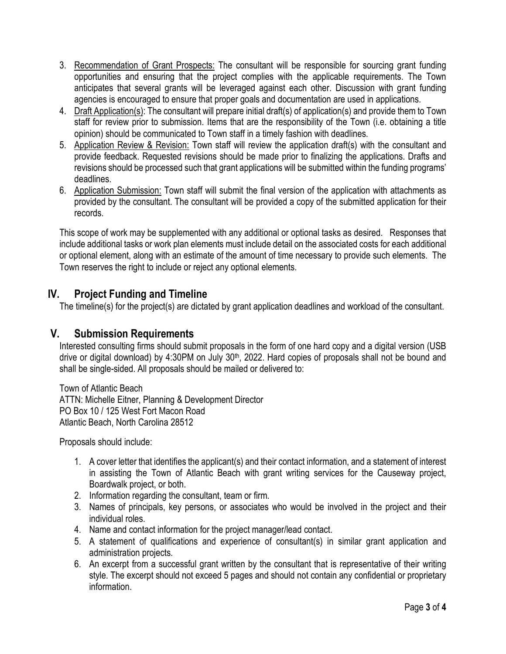- 3. Recommendation of Grant Prospects: The consultant will be responsible for sourcing grant funding opportunities and ensuring that the project complies with the applicable requirements. The Town anticipates that several grants will be leveraged against each other. Discussion with grant funding agencies is encouraged to ensure that proper goals and documentation are used in applications.
- 4. Draft Application(s): The consultant will prepare initial draft(s) of application(s) and provide them to Town staff for review prior to submission. Items that are the responsibility of the Town (i.e. obtaining a title opinion) should be communicated to Town staff in a timely fashion with deadlines.
- 5. Application Review & Revision: Town staff will review the application draft(s) with the consultant and provide feedback. Requested revisions should be made prior to finalizing the applications. Drafts and revisions should be processed such that grant applications will be submitted within the funding programs' deadlines.
- 6. Application Submission: Town staff will submit the final version of the application with attachments as provided by the consultant. The consultant will be provided a copy of the submitted application for their records.

This scope of work may be supplemented with any additional or optional tasks as desired. Responses that include additional tasks or work plan elements must include detail on the associated costs for each additional or optional element, along with an estimate of the amount of time necessary to provide such elements. The Town reserves the right to include or reject any optional elements.

# **IV. Project Funding and Timeline**

The timeline(s) for the project(s) are dictated by grant application deadlines and workload of the consultant.

# **V. Submission Requirements**

Interested consulting firms should submit proposals in the form of one hard copy and a digital version (USB drive or digital download) by 4:30PM on July 30<sup>th</sup>, 2022. Hard copies of proposals shall not be bound and shall be single-sided. All proposals should be mailed or delivered to:

Town of Atlantic Beach ATTN: Michelle Eitner, Planning & Development Director PO Box 10 / 125 West Fort Macon Road Atlantic Beach, North Carolina 28512

Proposals should include:

- 1. A cover letter that identifies the applicant(s) and their contact information, and a statement of interest in assisting the Town of Atlantic Beach with grant writing services for the Causeway project, Boardwalk project, or both.
- 2. Information regarding the consultant, team or firm.
- 3. Names of principals, key persons, or associates who would be involved in the project and their individual roles.
- 4. Name and contact information for the project manager/lead contact.
- 5. A statement of qualifications and experience of consultant(s) in similar grant application and administration projects.
- 6. An excerpt from a successful grant written by the consultant that is representative of their writing style. The excerpt should not exceed 5 pages and should not contain any confidential or proprietary information.